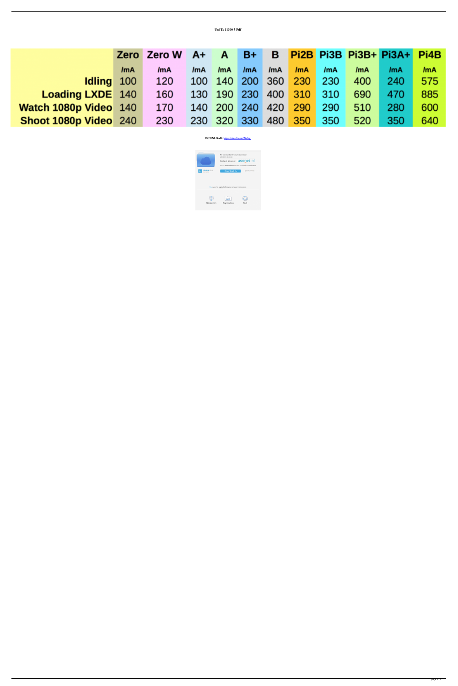|                         |     | Zero Zero W | $AA+$ | $\mathbf{A}$        | $B+$ |     |                         |     |     | B Pi2B Pi3B Pi3B+ Pi3A+ | Pi4B       |
|-------------------------|-----|-------------|-------|---------------------|------|-----|-------------------------|-----|-----|-------------------------|------------|
|                         | /mA | /mA         | /mA   | /mA                 | /mA  | /mA | /mA                     | /mA | /mA | /mA                     | <b>ImA</b> |
| Idling 100              |     | 120         |       |                     |      |     | 100 140 200 360 230     | 230 | 400 | 240                     | 575        |
| <b>Loading LXDE</b> 140 |     | 160         |       |                     |      |     | 130 190 230 400 310 310 |     | 690 | 470                     | 885        |
| Watch 1080p Video 140   |     | 170         |       | 140 200 240 420 290 |      |     |                         | 290 | 510 | 280                     | 600        |
| Shoot 1080p Video 240   |     | 230         |       | 230 320 330         |      |     | 480 350                 | 350 | 520 | 350                     | 640        |

Uni Ts 11300 3 Pdf

DOWNLOAD: https://tinurli.com/2ivbtg